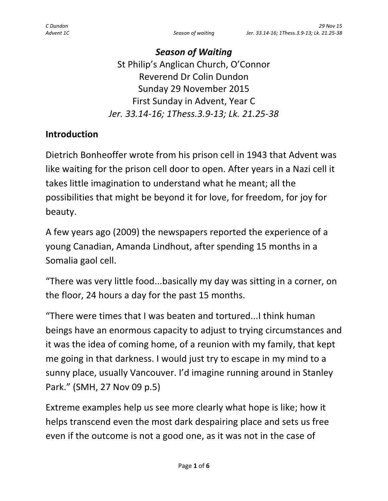*Season of Waiting* St Philip's Anglican Church, O'Connor Reverend Dr Colin Dundon Sunday 29 November 2015 First Sunday in Advent, Year C *Jer. 33.14-16; 1Thess.3.9-13; Lk. 21.25-38*

#### **Introduction**

Dietrich Bonheoffer wrote from his prison cell in 1943 that Advent was like waiting for the prison cell door to open. After years in a Nazi cell it takes little imagination to understand what he meant; all the possibilities that might be beyond it for love, for freedom, for joy for beauty.

A few years ago (2009) the newspapers reported the experience of a young Canadian, Amanda Lindhout, after spending 15 months in a Somalia gaol cell.

"There was very little food...basically my day was sitting in a corner, on the floor, 24 hours a day for the past 15 months.

"There were times that I was beaten and tortured...I think human beings have an enormous capacity to adjust to trying circumstances and it was the idea of coming home, of a reunion with my family, that kept me going in that darkness. I would just try to escape in my mind to a sunny place, usually Vancouver. I'd imagine running around in Stanley Park." (SMH, 27 Nov 09 p.5)

Extreme examples help us see more clearly what hope is like; how it helps transcend even the most dark despairing place and sets us free even if the outcome is not a good one, as it was not in the case of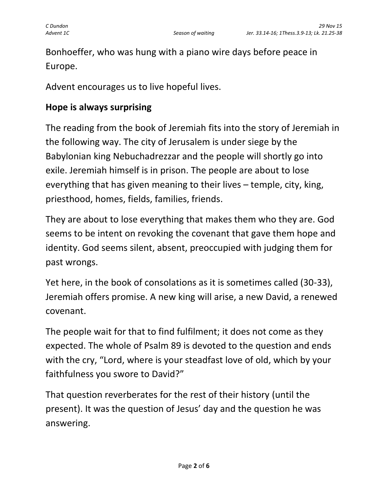Bonhoeffer, who was hung with a piano wire days before peace in Europe.

Advent encourages us to live hopeful lives.

#### **Hope is always surprising**

The reading from the book of Jeremiah fits into the story of Jeremiah in the following way. The city of Jerusalem is under siege by the Babylonian king Nebuchadrezzar and the people will shortly go into exile. Jeremiah himself is in prison. The people are about to lose everything that has given meaning to their lives – temple, city, king, priesthood, homes, fields, families, friends.

They are about to lose everything that makes them who they are. God seems to be intent on revoking the covenant that gave them hope and identity. God seems silent, absent, preoccupied with judging them for past wrongs.

Yet here, in the book of consolations as it is sometimes called (30-33), Jeremiah offers promise. A new king will arise, a new David, a renewed covenant.

The people wait for that to find fulfilment; it does not come as they expected. The whole of Psalm 89 is devoted to the question and ends with the cry, "Lord, where is your steadfast love of old, which by your faithfulness you swore to David?"

That question reverberates for the rest of their history (until the present). It was the question of Jesus' day and the question he was answering.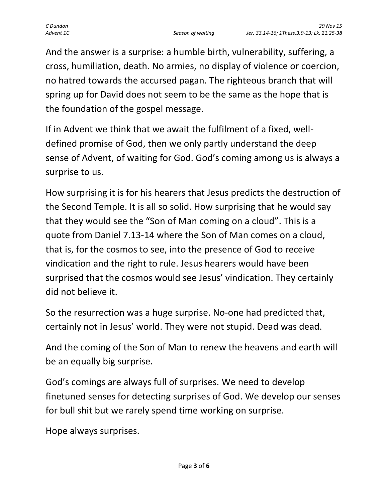And the answer is a surprise: a humble birth, vulnerability, suffering, a cross, humiliation, death. No armies, no display of violence or coercion, no hatred towards the accursed pagan. The righteous branch that will spring up for David does not seem to be the same as the hope that is the foundation of the gospel message.

If in Advent we think that we await the fulfilment of a fixed, welldefined promise of God, then we only partly understand the deep sense of Advent, of waiting for God. God's coming among us is always a surprise to us.

How surprising it is for his hearers that Jesus predicts the destruction of the Second Temple. It is all so solid. How surprising that he would say that they would see the "Son of Man coming on a cloud". This is a quote from Daniel 7.13-14 where the Son of Man comes on a cloud, that is, for the cosmos to see, into the presence of God to receive vindication and the right to rule. Jesus hearers would have been surprised that the cosmos would see Jesus' vindication. They certainly did not believe it.

So the resurrection was a huge surprise. No-one had predicted that, certainly not in Jesus' world. They were not stupid. Dead was dead.

And the coming of the Son of Man to renew the heavens and earth will be an equally big surprise.

God's comings are always full of surprises. We need to develop finetuned senses for detecting surprises of God. We develop our senses for bull shit but we rarely spend time working on surprise.

Hope always surprises.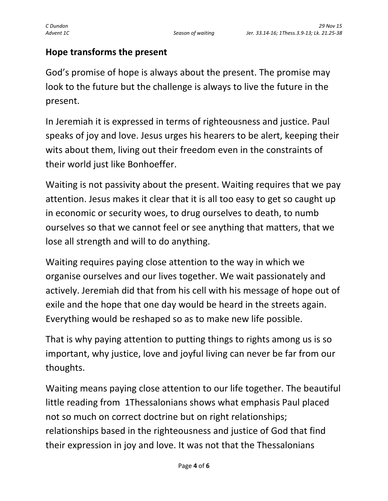## **Hope transforms the present**

God's promise of hope is always about the present. The promise may look to the future but the challenge is always to live the future in the present.

In Jeremiah it is expressed in terms of righteousness and justice. Paul speaks of joy and love. Jesus urges his hearers to be alert, keeping their wits about them, living out their freedom even in the constraints of their world just like Bonhoeffer.

Waiting is not passivity about the present. Waiting requires that we pay attention. Jesus makes it clear that it is all too easy to get so caught up in economic or security woes, to drug ourselves to death, to numb ourselves so that we cannot feel or see anything that matters, that we lose all strength and will to do anything.

Waiting requires paying close attention to the way in which we organise ourselves and our lives together. We wait passionately and actively. Jeremiah did that from his cell with his message of hope out of exile and the hope that one day would be heard in the streets again. Everything would be reshaped so as to make new life possible.

That is why paying attention to putting things to rights among us is so important, why justice, love and joyful living can never be far from our thoughts.

Waiting means paying close attention to our life together. The beautiful little reading from 1Thessalonians shows what emphasis Paul placed not so much on correct doctrine but on right relationships; relationships based in the righteousness and justice of God that find their expression in joy and love. It was not that the Thessalonians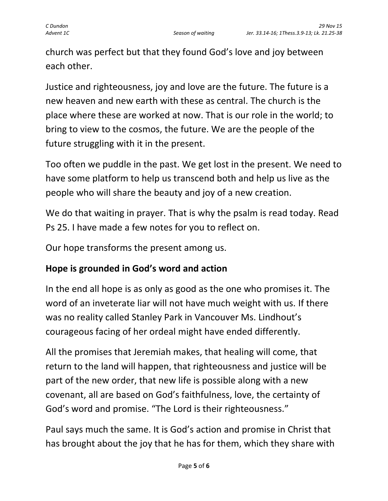church was perfect but that they found God's love and joy between each other.

Justice and righteousness, joy and love are the future. The future is a new heaven and new earth with these as central. The church is the place where these are worked at now. That is our role in the world; to bring to view to the cosmos, the future. We are the people of the future struggling with it in the present.

Too often we puddle in the past. We get lost in the present. We need to have some platform to help us transcend both and help us live as the people who will share the beauty and joy of a new creation.

We do that waiting in prayer. That is why the psalm is read today. Read Ps 25. I have made a few notes for you to reflect on.

Our hope transforms the present among us.

# **Hope is grounded in God's word and action**

In the end all hope is as only as good as the one who promises it. The word of an inveterate liar will not have much weight with us. If there was no reality called Stanley Park in Vancouver Ms. Lindhout's courageous facing of her ordeal might have ended differently.

All the promises that Jeremiah makes, that healing will come, that return to the land will happen, that righteousness and justice will be part of the new order, that new life is possible along with a new covenant, all are based on God's faithfulness, love, the certainty of God's word and promise. "The Lord is their righteousness."

Paul says much the same. It is God's action and promise in Christ that has brought about the joy that he has for them, which they share with